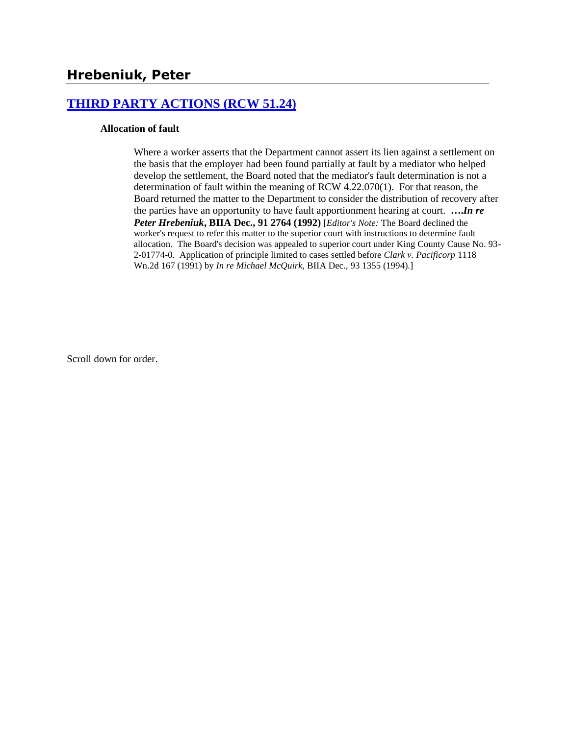## **[THIRD PARTY ACTIONS \(RCW 51.24\)](http://www.biia.wa.gov/SDSubjectIndex.html#THIRD_PARTY_ACTIONS)**

#### **Allocation of fault**

Where a worker asserts that the Department cannot assert its lien against a settlement on the basis that the employer had been found partially at fault by a mediator who helped develop the settlement, the Board noted that the mediator's fault determination is not a determination of fault within the meaning of RCW 4.22.070(1). For that reason, the Board returned the matter to the Department to consider the distribution of recovery after the parties have an opportunity to have fault apportionment hearing at court. **….***In re Peter Hrebeniuk***, BIIA Dec., 91 2764 (1992)** [*Editor's Note:* The Board declined the worker's request to refer this matter to the superior court with instructions to determine fault allocation. The Board's decision was appealed to superior court under King County Cause No. 93- 2-01774-0. Application of principle limited to cases settled before *Clark v. Pacificorp* 1118 Wn.2d 167 (1991) by *In re Michael McQuirk*, BIIA Dec., 93 1355 (1994).]

Scroll down for order.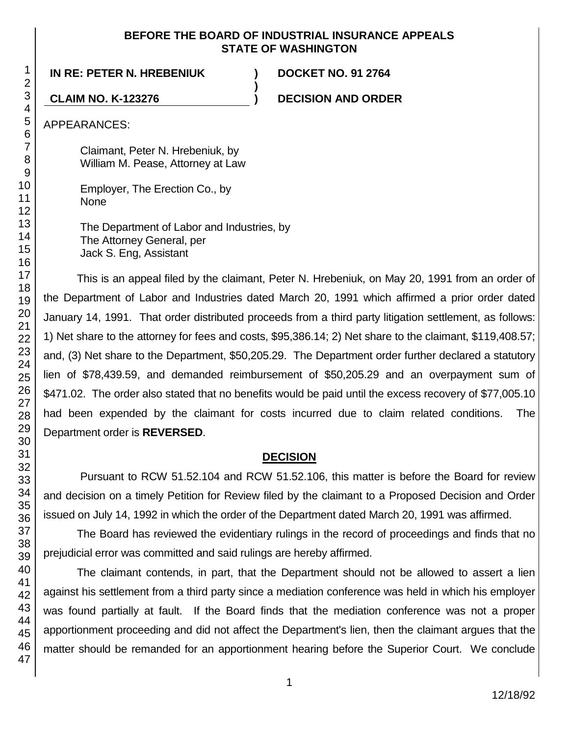### **BEFORE THE BOARD OF INDUSTRIAL INSURANCE APPEALS STATE OF WASHINGTON**

**)**

**IN RE: PETER N. HREBENIUK ) DOCKET NO. 91 2764**

**CLAIM NO. K-123276 ) DECISION AND ORDER**

APPEARANCES:

Claimant, Peter N. Hrebeniuk, by William M. Pease, Attorney at Law

Employer, The Erection Co., by None

The Department of Labor and Industries, by The Attorney General, per Jack S. Eng, Assistant

This is an appeal filed by the claimant, Peter N. Hrebeniuk, on May 20, 1991 from an order of the Department of Labor and Industries dated March 20, 1991 which affirmed a prior order dated January 14, 1991. That order distributed proceeds from a third party litigation settlement, as follows: 1) Net share to the attorney for fees and costs, \$95,386.14; 2) Net share to the claimant, \$119,408.57; and, (3) Net share to the Department, \$50,205.29. The Department order further declared a statutory lien of \$78,439.59, and demanded reimbursement of \$50,205.29 and an overpayment sum of \$471.02. The order also stated that no benefits would be paid until the excess recovery of \$77,005.10 had been expended by the claimant for costs incurred due to claim related conditions. The Department order is **REVERSED**.

# **DECISION**

Pursuant to RCW 51.52.104 and RCW 51.52.106, this matter is before the Board for review and decision on a timely Petition for Review filed by the claimant to a Proposed Decision and Order issued on July 14, 1992 in which the order of the Department dated March 20, 1991 was affirmed.

The Board has reviewed the evidentiary rulings in the record of proceedings and finds that no prejudicial error was committed and said rulings are hereby affirmed.

The claimant contends, in part, that the Department should not be allowed to assert a lien against his settlement from a third party since a mediation conference was held in which his employer was found partially at fault. If the Board finds that the mediation conference was not a proper apportionment proceeding and did not affect the Department's lien, then the claimant argues that the matter should be remanded for an apportionment hearing before the Superior Court. We conclude

1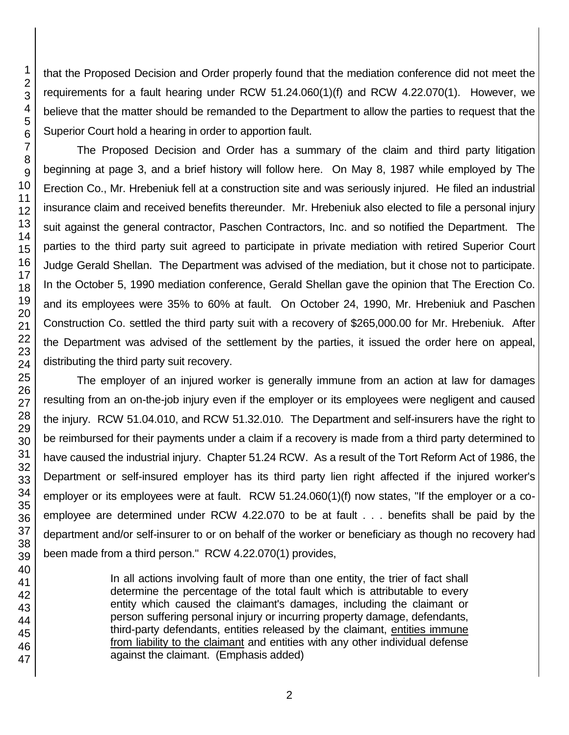that the Proposed Decision and Order properly found that the mediation conference did not meet the requirements for a fault hearing under RCW 51.24.060(1)(f) and RCW 4.22.070(1). However, we believe that the matter should be remanded to the Department to allow the parties to request that the Superior Court hold a hearing in order to apportion fault.

The Proposed Decision and Order has a summary of the claim and third party litigation beginning at page 3, and a brief history will follow here. On May 8, 1987 while employed by The Erection Co., Mr. Hrebeniuk fell at a construction site and was seriously injured. He filed an industrial insurance claim and received benefits thereunder. Mr. Hrebeniuk also elected to file a personal injury suit against the general contractor, Paschen Contractors, Inc. and so notified the Department. The parties to the third party suit agreed to participate in private mediation with retired Superior Court Judge Gerald Shellan. The Department was advised of the mediation, but it chose not to participate. In the October 5, 1990 mediation conference, Gerald Shellan gave the opinion that The Erection Co. and its employees were 35% to 60% at fault. On October 24, 1990, Mr. Hrebeniuk and Paschen Construction Co. settled the third party suit with a recovery of \$265,000.00 for Mr. Hrebeniuk. After the Department was advised of the settlement by the parties, it issued the order here on appeal, distributing the third party suit recovery.

The employer of an injured worker is generally immune from an action at law for damages resulting from an on-the-job injury even if the employer or its employees were negligent and caused the injury. RCW 51.04.010, and RCW 51.32.010. The Department and self-insurers have the right to be reimbursed for their payments under a claim if a recovery is made from a third party determined to have caused the industrial injury. Chapter 51.24 RCW. As a result of the Tort Reform Act of 1986, the Department or self-insured employer has its third party lien right affected if the injured worker's employer or its employees were at fault. RCW 51.24.060(1)(f) now states, "If the employer or a coemployee are determined under RCW 4.22.070 to be at fault . . . benefits shall be paid by the department and/or self-insurer to or on behalf of the worker or beneficiary as though no recovery had been made from a third person." RCW 4.22.070(1) provides,

> In all actions involving fault of more than one entity, the trier of fact shall determine the percentage of the total fault which is attributable to every entity which caused the claimant's damages, including the claimant or person suffering personal injury or incurring property damage, defendants, third-party defendants, entities released by the claimant, entities immune from liability to the claimant and entities with any other individual defense against the claimant. (Emphasis added)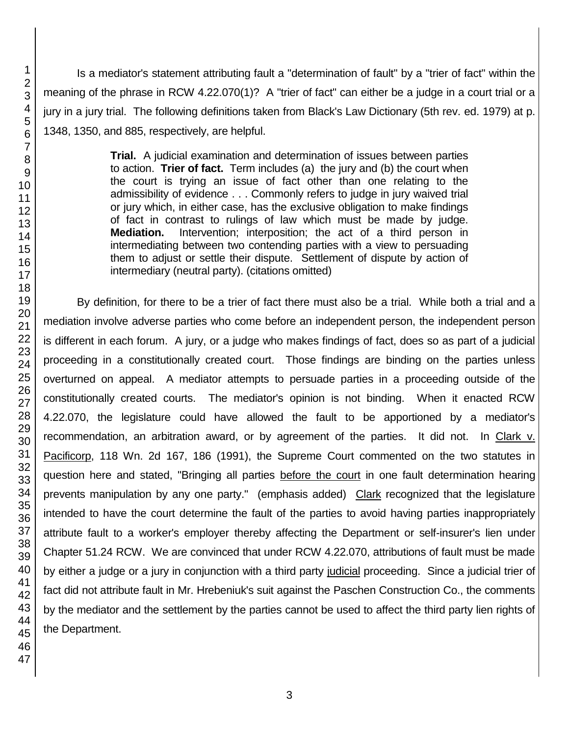Is a mediator's statement attributing fault a "determination of fault" by a "trier of fact" within the meaning of the phrase in RCW 4.22.070(1)? A "trier of fact" can either be a judge in a court trial or a jury in a jury trial. The following definitions taken from Black's Law Dictionary (5th rev. ed. 1979) at p. 1348, 1350, and 885, respectively, are helpful.

> **Trial.** A judicial examination and determination of issues between parties to action. **Trier of fact.** Term includes (a) the jury and (b) the court when the court is trying an issue of fact other than one relating to the admissibility of evidence . . . Commonly refers to judge in jury waived trial or jury which, in either case, has the exclusive obligation to make findings of fact in contrast to rulings of law which must be made by judge. **Mediation.** Intervention; interposition; the act of a third person in intermediating between two contending parties with a view to persuading them to adjust or settle their dispute. Settlement of dispute by action of intermediary (neutral party). (citations omitted)

By definition, for there to be a trier of fact there must also be a trial. While both a trial and a mediation involve adverse parties who come before an independent person, the independent person is different in each forum. A jury, or a judge who makes findings of fact, does so as part of a judicial proceeding in a constitutionally created court. Those findings are binding on the parties unless overturned on appeal. A mediator attempts to persuade parties in a proceeding outside of the constitutionally created courts. The mediator's opinion is not binding. When it enacted RCW 4.22.070, the legislature could have allowed the fault to be apportioned by a mediator's recommendation, an arbitration award, or by agreement of the parties. It did not. In Clark v. Pacificorp, 118 Wn. 2d 167, 186 (1991), the Supreme Court commented on the two statutes in question here and stated, "Bringing all parties before the court in one fault determination hearing prevents manipulation by any one party." (emphasis added) Clark recognized that the legislature intended to have the court determine the fault of the parties to avoid having parties inappropriately attribute fault to a worker's employer thereby affecting the Department or self-insurer's lien under Chapter 51.24 RCW. We are convinced that under RCW 4.22.070, attributions of fault must be made by either a judge or a jury in conjunction with a third party judicial proceeding. Since a judicial trier of fact did not attribute fault in Mr. Hrebeniuk's suit against the Paschen Construction Co., the comments by the mediator and the settlement by the parties cannot be used to affect the third party lien rights of the Department.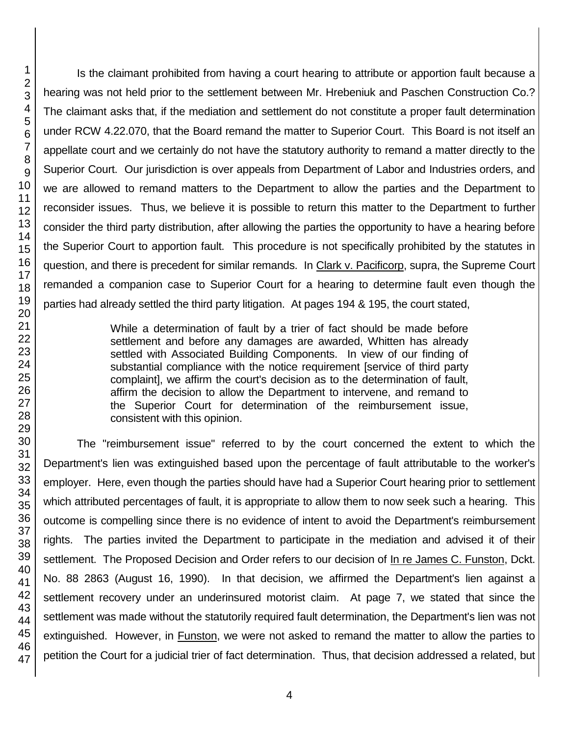Is the claimant prohibited from having a court hearing to attribute or apportion fault because a hearing was not held prior to the settlement between Mr. Hrebeniuk and Paschen Construction Co.? The claimant asks that, if the mediation and settlement do not constitute a proper fault determination under RCW 4.22.070, that the Board remand the matter to Superior Court. This Board is not itself an appellate court and we certainly do not have the statutory authority to remand a matter directly to the Superior Court. Our jurisdiction is over appeals from Department of Labor and Industries orders, and we are allowed to remand matters to the Department to allow the parties and the Department to reconsider issues. Thus, we believe it is possible to return this matter to the Department to further consider the third party distribution, after allowing the parties the opportunity to have a hearing before the Superior Court to apportion fault. This procedure is not specifically prohibited by the statutes in question, and there is precedent for similar remands. In Clark v. Pacificorp, supra, the Supreme Court remanded a companion case to Superior Court for a hearing to determine fault even though the parties had already settled the third party litigation. At pages 194 & 195, the court stated,

> While a determination of fault by a trier of fact should be made before settlement and before any damages are awarded, Whitten has already settled with Associated Building Components. In view of our finding of substantial compliance with the notice requirement [service of third party complaint], we affirm the court's decision as to the determination of fault, affirm the decision to allow the Department to intervene, and remand to the Superior Court for determination of the reimbursement issue, consistent with this opinion.

The "reimbursement issue" referred to by the court concerned the extent to which the Department's lien was extinguished based upon the percentage of fault attributable to the worker's employer. Here, even though the parties should have had a Superior Court hearing prior to settlement which attributed percentages of fault, it is appropriate to allow them to now seek such a hearing. This outcome is compelling since there is no evidence of intent to avoid the Department's reimbursement rights. The parties invited the Department to participate in the mediation and advised it of their settlement. The Proposed Decision and Order refers to our decision of In re James C. Funston, Dckt. No. 88 2863 (August 16, 1990). In that decision, we affirmed the Department's lien against a settlement recovery under an underinsured motorist claim. At page 7, we stated that since the settlement was made without the statutorily required fault determination, the Department's lien was not extinguished. However, in Funston, we were not asked to remand the matter to allow the parties to petition the Court for a judicial trier of fact determination. Thus, that decision addressed a related, but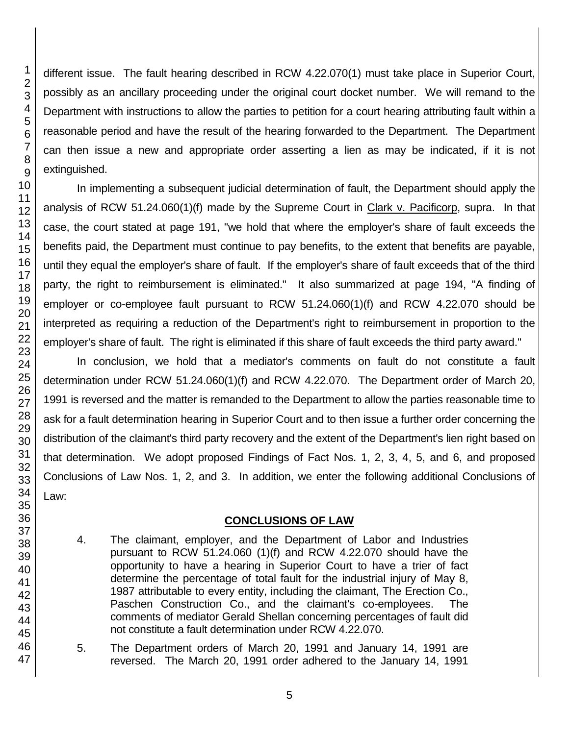1

different issue. The fault hearing described in RCW 4.22.070(1) must take place in Superior Court, possibly as an ancillary proceeding under the original court docket number. We will remand to the Department with instructions to allow the parties to petition for a court hearing attributing fault within a reasonable period and have the result of the hearing forwarded to the Department. The Department can then issue a new and appropriate order asserting a lien as may be indicated, if it is not extinguished.

In implementing a subsequent judicial determination of fault, the Department should apply the analysis of RCW 51.24.060(1)(f) made by the Supreme Court in Clark v. Pacificorp, supra. In that case, the court stated at page 191, "we hold that where the employer's share of fault exceeds the benefits paid, the Department must continue to pay benefits, to the extent that benefits are payable, until they equal the employer's share of fault. If the employer's share of fault exceeds that of the third party, the right to reimbursement is eliminated." It also summarized at page 194, "A finding of employer or co-employee fault pursuant to RCW 51.24.060(1)(f) and RCW 4.22.070 should be interpreted as requiring a reduction of the Department's right to reimbursement in proportion to the employer's share of fault. The right is eliminated if this share of fault exceeds the third party award."

In conclusion, we hold that a mediator's comments on fault do not constitute a fault determination under RCW 51.24.060(1)(f) and RCW 4.22.070. The Department order of March 20, 1991 is reversed and the matter is remanded to the Department to allow the parties reasonable time to ask for a fault determination hearing in Superior Court and to then issue a further order concerning the distribution of the claimant's third party recovery and the extent of the Department's lien right based on that determination. We adopt proposed Findings of Fact Nos. 1, 2, 3, 4, 5, and 6, and proposed Conclusions of Law Nos. 1, 2, and 3. In addition, we enter the following additional Conclusions of Law:

## **CONCLUSIONS OF LAW**

- 4. The claimant, employer, and the Department of Labor and Industries pursuant to RCW 51.24.060 (1)(f) and RCW 4.22.070 should have the opportunity to have a hearing in Superior Court to have a trier of fact determine the percentage of total fault for the industrial injury of May 8, 1987 attributable to every entity, including the claimant, The Erection Co., Paschen Construction Co., and the claimant's co-employees. The comments of mediator Gerald Shellan concerning percentages of fault did not constitute a fault determination under RCW 4.22.070.
- 5. The Department orders of March 20, 1991 and January 14, 1991 are reversed. The March 20, 1991 order adhered to the January 14, 1991